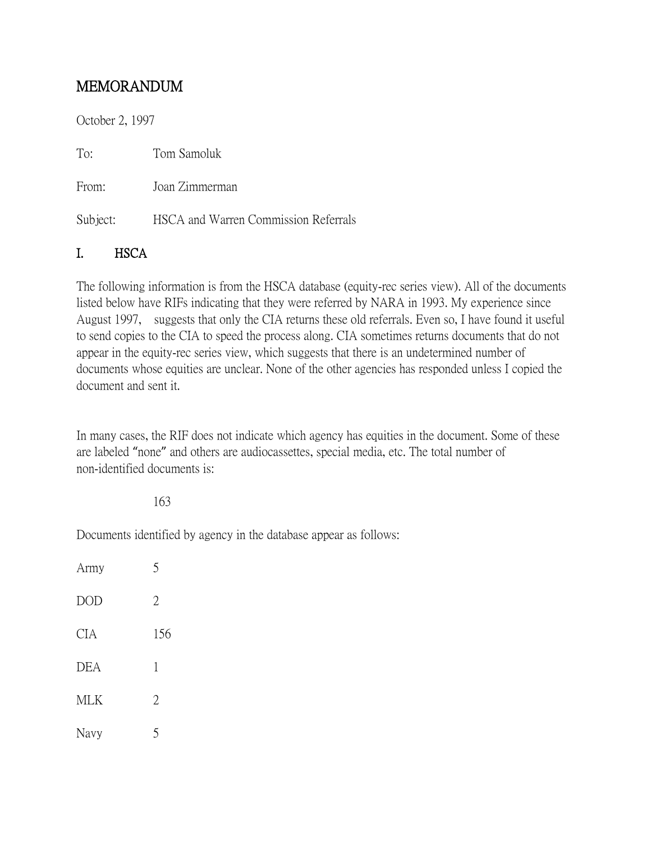# MEMORANDUM

October 2, 1997

To: Tom Samoluk

From: Joan Zimmerman

Subject: HSCA and Warren Commission Referrals

### I. HSCA

The following information is from the HSCA database (equity-rec series view). All of the documents listed below have RIFs indicating that they were referred by NARA in 1993. My experience since August 1997, suggests that only the CIA returns these old referrals. Even so, I have found it useful to send copies to the CIA to speed the process along. CIA sometimes returns documents that do not appear in the equity-rec series view, which suggests that there is an undetermined number of documents whose equities are unclear. None of the other agencies has responded unless I copied the document and sent it.

In many cases, the RIF does not indicate which agency has equities in the document. Some of these are labeled "none" and others are audiocassettes, special media, etc. The total number of non-identified documents is:

#### 163

Documents identified by agency in the database appear as follows:

| Army       | 5              |
|------------|----------------|
| <b>DOD</b> | $\overline{2}$ |
| <b>CIA</b> | 156            |
| <b>DEA</b> | 1              |
| <b>MLK</b> | $\overline{2}$ |
| Navy       | 5              |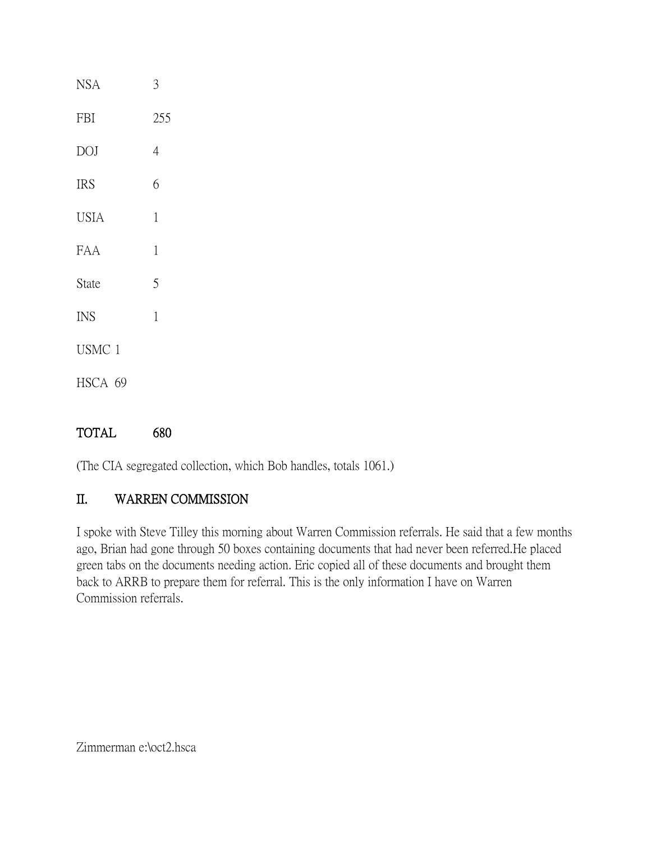| <b>NSA</b>  | 3           |
|-------------|-------------|
| <b>FBI</b>  | 255         |
| <b>DOJ</b>  | 4           |
| <b>IRS</b>  | 6           |
| <b>USIA</b> | 1           |
| FAA         | 1           |
| State       | 5           |
| <b>INS</b>  | $\mathbf 1$ |
| USMC 1      |             |
| HSCA 69     |             |
|             |             |

### TOTAL 680

(The CIA segregated collection, which Bob handles, totals 1061.)

## II. WARREN COMMISSION

I spoke with Steve Tilley this morning about Warren Commission referrals. He said that a few months ago, Brian had gone through 50 boxes containing documents that had never been referred.He placed green tabs on the documents needing action. Eric copied all of these documents and brought them back to ARRB to prepare them for referral. This is the only information I have on Warren Commission referrals.